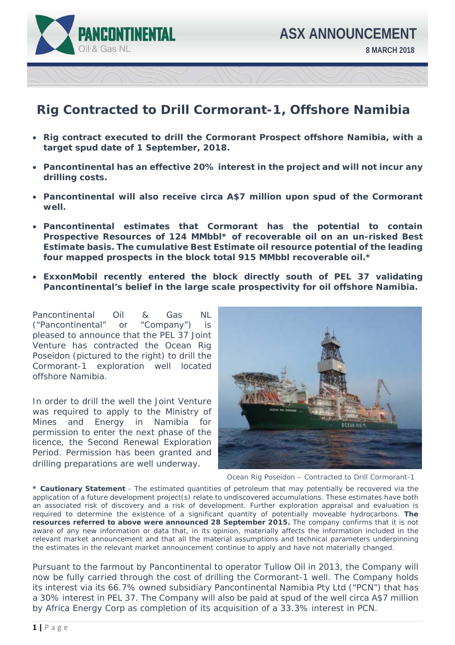

## **Rig Contracted to Drill Cormorant-1, Offshore Namibia**

- **Rig contract executed to drill the Cormorant Prospect offshore Namibia, with a target spud date of 1 September, 2018.**
- **Pancontinental has an effective 20% interest in the project and will not incur any drilling costs.**
- **Pancontinental will also receive circa A\$7 million upon spud of the Cormorant well.**
- **Pancontinental estimates that Cormorant has the potential to contain Prospective Resources of 124 MMbbl\* of recoverable oil on an un-risked Best Estimate basis. The cumulative Best Estimate oil resource potential of the leading four mapped prospects in the block total 915 MMbbl recoverable oil.\***
- **ExxonMobil recently entered the block directly south of PEL 37 validating Pancontinental's belief in the large scale prospectivity for oil offshore Namibia.**

Pancontinental Oil & Gas NL ("Pancontinental" or "Company") is pleased to announce that the PEL 37 Joint Venture has contracted the Ocean Rig Poseidon (pictured to the right) to drill the Cormorant-1 exploration well located offshore Namibia.

In order to drill the well the Joint Venture was required to apply to the Ministry of Mines and Energy in Namibia for permission to enter the next phase of the licence, the Second Renewal Exploration Period. Permission has been granted and drilling preparations are well underway.



Ocean Rig Poseidon – Contracted to Drill Cormorant-1

**\* Cautionary Statement** - The estimated quantities of petroleum that may potentially be recovered via the application of a future development project(s) relate to undiscovered accumulations. These estimates have both an associated risk of discovery and a risk of development. Further exploration appraisal and evaluation is required to determine the existence of a significant quantity of potentially moveable hydrocarbons. **The resources referred to above were announced 28 September 2015.** The company confirms that it is not aware of any new information or data that, in its opinion, materially affects the information included in the relevant market announcement and that all the material assumptions and technical parameters underpinning the estimates in the relevant market announcement continue to apply and have not materially changed.

Pursuant to the farmout by Pancontinental to operator Tullow Oil in 2013, the Company will now be fully carried through the cost of drilling the Cormorant-1 well. The Company holds its interest via its 66.7% owned subsidiary Pancontinental Namibia Pty Ltd ("PCN") that has a 30% interest in PEL 37. The Company will also be paid at spud of the well circa A\$7 million by Africa Energy Corp as completion of its acquisition of a 33.3% interest in PCN.